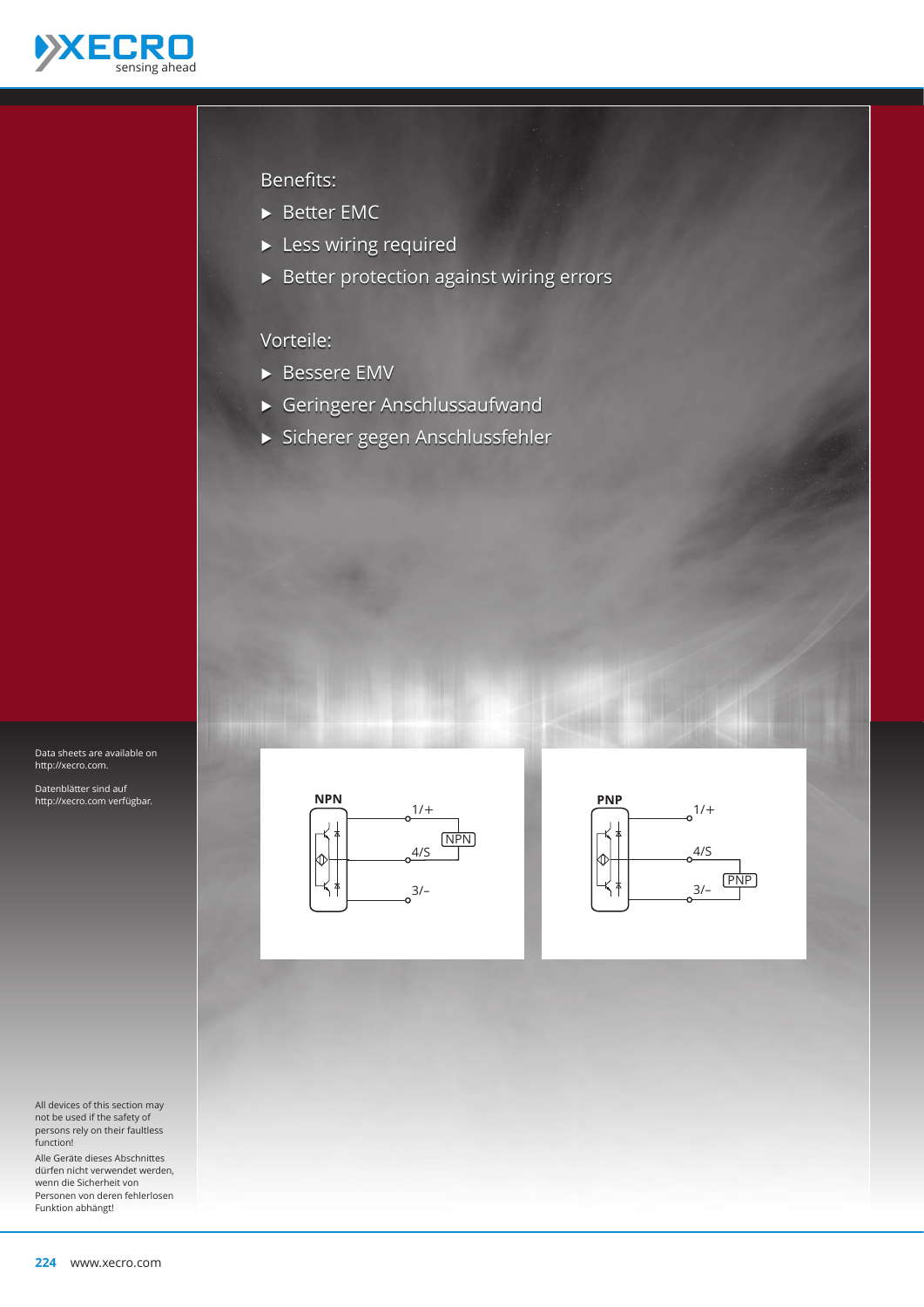

#### Benefits:

- ▶ Better EMC
- $\blacktriangleright$  Less wiring required
- $\blacktriangleright$  Better protection against wiring errors

#### Vorteile:

- ▶ Bessere EMV
- Ѝ Geringerer Anschlussaufwand
- Ѝ Sicherer gegen Anschlussfehler

Data sheets are available on http://xecro.com.

Datenblätter sind auf http://xecro.com verfügbar.



Alle Geräte dieses Abschnittes dürfen nicht verwendet werden, wenn die Sicherheit von Personen von deren fehlerlosen Funktion abhängt!



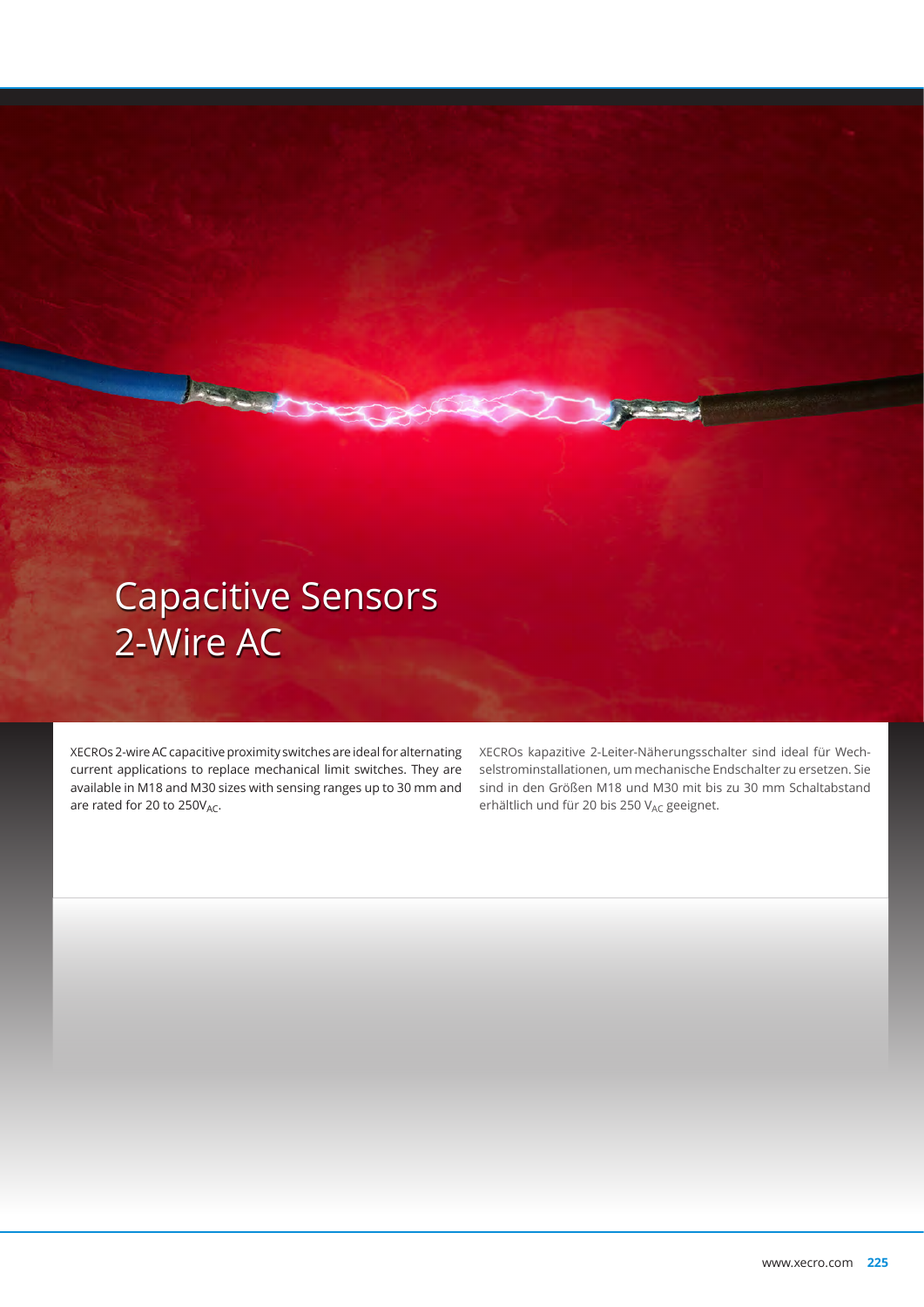# Capacitive Sensors 2-Wire AC

A Service Co.

XECROs 2-wire AC capacitive proximity switches are ideal for alternating current applications to replace mechanical limit switches. They are available in M18 and M30 sizes with sensing ranges up to 30 mm and are rated for 20 to  $250V_{AC}$ .

XECROs kapazitive 2-Leiter-Näherungsschalter sind ideal für Wechselstrominstallationen, um mechanische Endschalter zu ersetzen. Sie sind in den Größen M18 und M30 mit bis zu 30 mm Schaltabstand erhältlich und für 20 bis 250 V<sub>AC</sub> geeignet.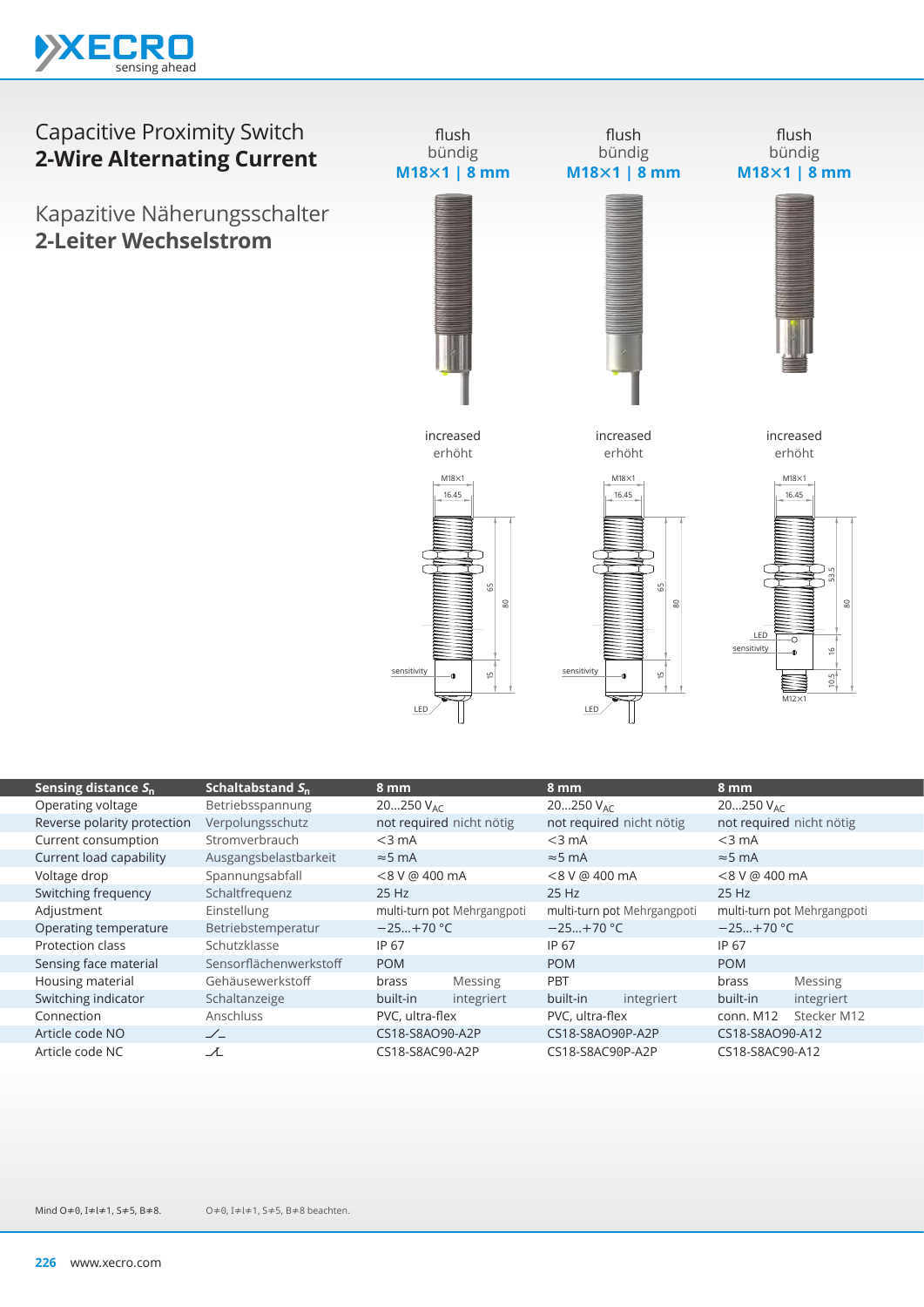

## Capacitive Proximity Switch **2-Wire Alternating Current**

Kapazitive Näherungsschalter **2-Leiter Wechselstrom**



| Schaltabstand $S_n$    | 8 mm                        |                | 8 mm                        |            | 8 mm                        |             |
|------------------------|-----------------------------|----------------|-----------------------------|------------|-----------------------------|-------------|
| Betriebsspannung       | $20250$ V <sub>AC</sub>     |                | 20250 $V_{AC}$              |            | $20250$ V <sub>AC</sub>     |             |
| Verpolungsschutz       | not required nicht nötig    |                | not required nicht nötig    |            | not required nicht nötig    |             |
| Stromverbrauch         | $<$ 3 mA                    |                | $<$ 3 mA                    |            | $<$ 3 mA                    |             |
| Ausgangsbelastbarkeit  | $\approx$ 5 mA              |                | $\approx$ 5 mA              |            | $\approx$ 5 mA              |             |
| Spannungsabfall        | $< 8 V$ @ 400 mA            |                | $< 8 V$ @ 400 mA            |            | $< 8 V$ @ 400 mA            |             |
| Schaltfrequenz         | 25 Hz                       |                | $25$ Hz                     |            | $25$ Hz                     |             |
| Einstellung            | multi-turn pot Mehrgangpoti |                | multi-turn pot Mehrgangpoti |            | multi-turn pot Mehrgangpoti |             |
| Betriebstemperatur     | $-25+70$ °C                 |                | $-25+70$ °C                 |            | $-25+70$ °C                 |             |
| Schutzklasse           | IP 67                       |                | IP 67                       |            | IP 67                       |             |
| Sensorflächenwerkstoff | <b>POM</b>                  |                | <b>POM</b>                  |            | <b>POM</b>                  |             |
| Gehäusewerkstoff       | brass                       | <b>Messing</b> | <b>PBT</b>                  |            | brass                       | Messing     |
| Schaltanzeige          | built-in                    | integriert     | built-in                    | integriert | built-in                    | integriert  |
| Anschluss              | PVC, ultra-flex             |                | PVC, ultra-flex             |            | conn. M12                   | Stecker M12 |
| $\angle$               | CS18-S8AO90-A2P             |                | CS18-S8AO90P-A2P            |            | CS18-S8AO90-A12             |             |
| ᆺ                      | CS18-S8AC90-A2P             |                | CS18-S8AC90P-A2P            |            | CS18-S8AC90-A12             |             |
|                        |                             |                |                             |            |                             |             |

Mind O≠0, I≠l≠1, S≠5, B≠8.

O≠0, I≠l≠1, S≠5, B≠8 beachten.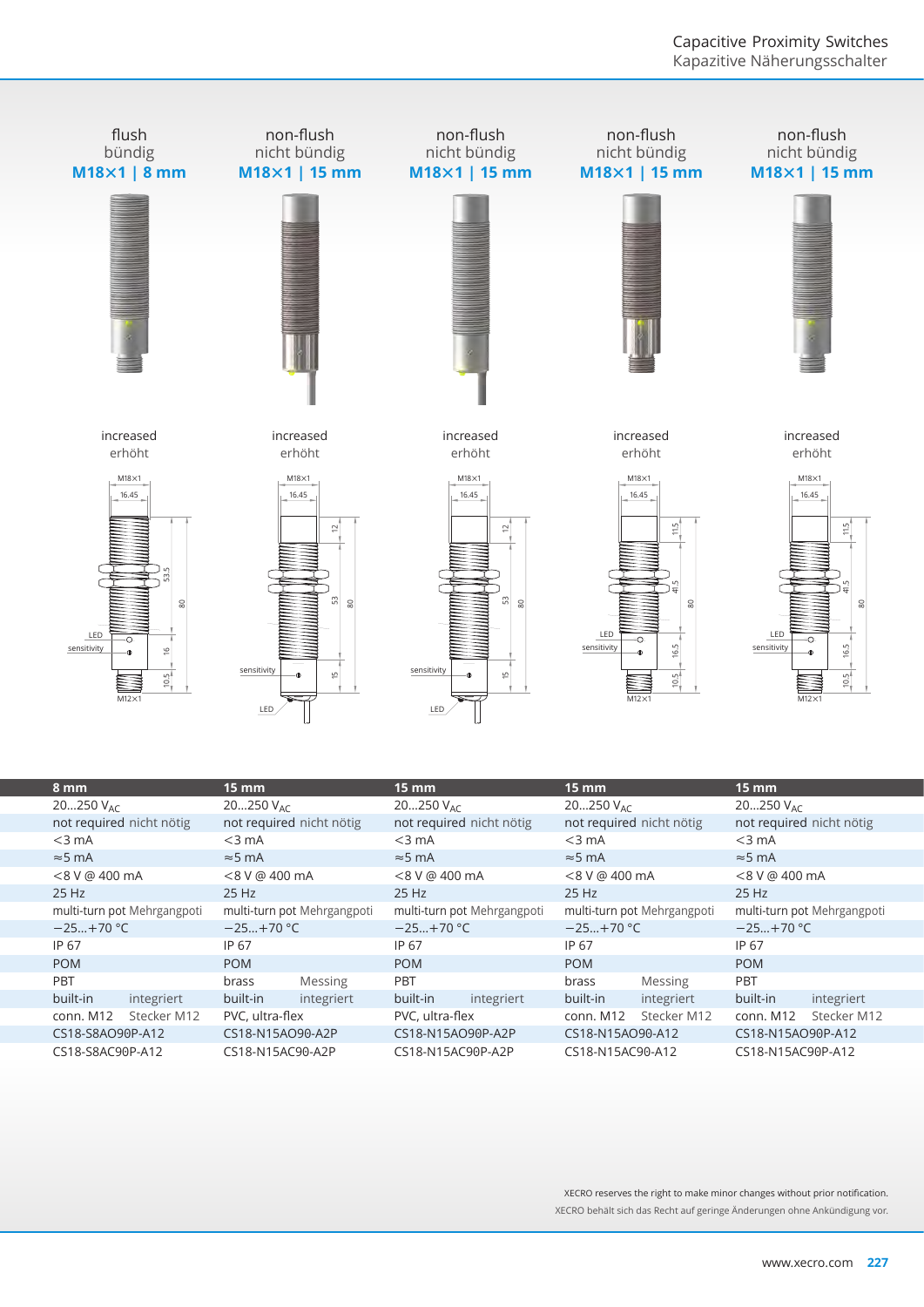

| o mm                                 | 15 MM                       | 15 MM                       | 15 MM                                 | 15 MM                       |  |
|--------------------------------------|-----------------------------|-----------------------------|---------------------------------------|-----------------------------|--|
| $20250$ V <sub>AC</sub>              | 20250 $V_{AC}$              | $20250$ V <sub>AC</sub>     | $20250$ V <sub>AC</sub>               | $20250$ V <sub>AC</sub>     |  |
| not required nicht nötig             | not required nicht nötig    | not required nicht nötig    | not required nicht nötig              | not required nicht nötig    |  |
| $<$ 3 mA                             | $<$ 3 mA                    | $<$ 3 mA                    | $<$ 3 mA                              | $<$ 3 mA                    |  |
| $\approx$ 5 mA                       | $\approx$ 5 mA              | $\approx$ 5 mA              | $\approx$ 5 mA                        | $\approx$ 5 mA              |  |
| <8 V @ 400 mA                        | $< 8$ V @ 400 mA            | <8 V @ 400 mA               | $< 8 V$ @ 400 mA                      | $< 8 V$ @ 400 mA            |  |
| 25 Hz                                | 25 Hz                       | 25 Hz                       | 25 Hz                                 | 25 Hz                       |  |
| multi-turn pot Mehrgangpoti          | multi-turn pot Mehrgangpoti | multi-turn pot Mehrgangpoti | multi-turn pot Mehrgangpoti           | multi-turn pot Mehrgangpoti |  |
| $-25+70$ °C                          | $-25+70 °C$                 | $-25+70$ °C                 | $-25+70$ °C                           | $-25+70$ °C                 |  |
| IP 67                                | IP 67                       | IP 67                       | IP 67                                 | IP 67                       |  |
| <b>POM</b>                           | <b>POM</b>                  | <b>POM</b>                  | <b>POM</b>                            | <b>POM</b>                  |  |
| PBT                                  | <b>Messing</b><br>brass     | PBT                         | Messing<br>brass                      | PBT                         |  |
| built-in<br>integriert               | built-in<br>integriert      | built-in<br>integriert      | built-in<br>integriert                | built-in<br>integriert      |  |
| Stecker M12<br>conn. M12             | PVC, ultra-flex             | PVC, ultra-flex             | Stecker M12<br>conn. M12              | Stecker M12<br>conn. M12    |  |
| CS18-S8AO90P-A12<br>CS18-N15AO90-A2P |                             | CS18-N15AO90P-A2P           | CS18-N15AO90-A12                      | CS18-N15AO90P-A12           |  |
| CS18-S8AC90P-A12<br>CS18-N15AC90-A2P |                             | CS18-N15AC90P-A2P           | CS18-N15AC90-A12<br>CS18-N15AC90P-A12 |                             |  |

XECRO reserves the right to make minor changes without prior notification. XECRO behält sich das Recht auf geringe Änderungen ohne Ankündigung vor.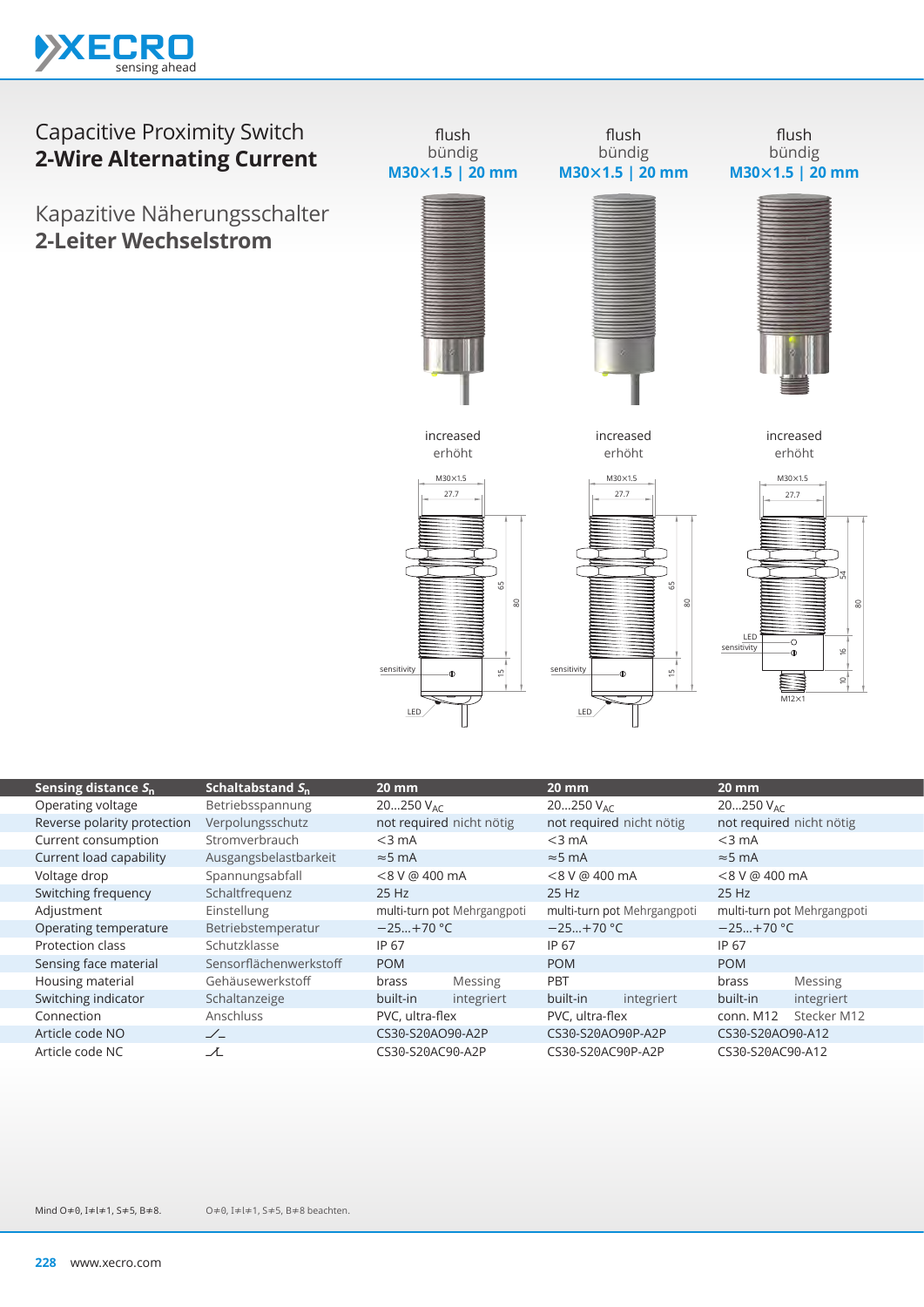

## Capacitive Proximity Switch **2-Wire Alternating Current**

Kapazitive Näherungsschalter **2-Leiter Wechselstrom**



| Sensing distance $S_n$      | Schaltabstand $S_n$    | $20 \, \text{mm}$           |            | $20 \, \text{mm}$           |            | $20$ mm                     |                |
|-----------------------------|------------------------|-----------------------------|------------|-----------------------------|------------|-----------------------------|----------------|
| Operating voltage           | Betriebsspannung       | 20250 $V_{AC}$              |            | 20250 $V_{AC}$              |            | 20250 $V_{AC}$              |                |
| Reverse polarity protection | Verpolungsschutz       | not required nicht nötig    |            | not required nicht nötig    |            | not required nicht nötig    |                |
| Current consumption         | Stromverbrauch         | $<$ 3 mA                    |            | $<$ 3 mA                    |            | $<$ 3 mA                    |                |
| Current load capability     | Ausgangsbelastbarkeit  | $\approx$ 5 mA              |            | $\approx$ 5 mA              |            | $\approx$ 5 mA              |                |
| Voltage drop                | Spannungsabfall        | $< 8 V$ @ 400 mA            |            | $< 8 V$ @ 400 mA            |            | $< 8 V$ @ 400 mA            |                |
| Switching frequency         | Schaltfrequenz         | 25 Hz                       |            | $25$ Hz                     |            | $25$ Hz                     |                |
| Adjustment                  | Einstellung            | multi-turn pot Mehrgangpoti |            | multi-turn pot Mehrgangpoti |            | multi-turn pot Mehrgangpoti |                |
| Operating temperature       | Betriebstemperatur     | $-25+70 °C$                 |            | $-25+70$ °C                 |            | $-25+70$ °C                 |                |
| Protection class            | Schutzklasse           | IP 67                       |            | IP 67                       |            | IP 67                       |                |
| Sensing face material       | Sensorflächenwerkstoff | <b>POM</b>                  |            | <b>POM</b>                  |            | <b>POM</b>                  |                |
| Housing material            | Gehäusewerkstoff       | brass                       | Messing    | PBT                         |            | brass                       | <b>Messing</b> |
| Switching indicator         | Schaltanzeige          | built-in                    | integriert | built-in                    | integriert | built-in                    | integriert     |
| Connection                  | Anschluss              | PVC, ultra-flex             |            | PVC, ultra-flex             |            | conn. M12                   | Stecker M12    |
| Article code NO             | $\angle$               | CS30-S20AO90-A2P            |            | CS30-S20AO90P-A2P           |            | CS30-S20AO90-A12            |                |
| Article code NC             | ᆺ                      | CS30-S20AC90-A2P            |            | CS30-S20AC90P-A2P           |            | CS30-S20AC90-A12            |                |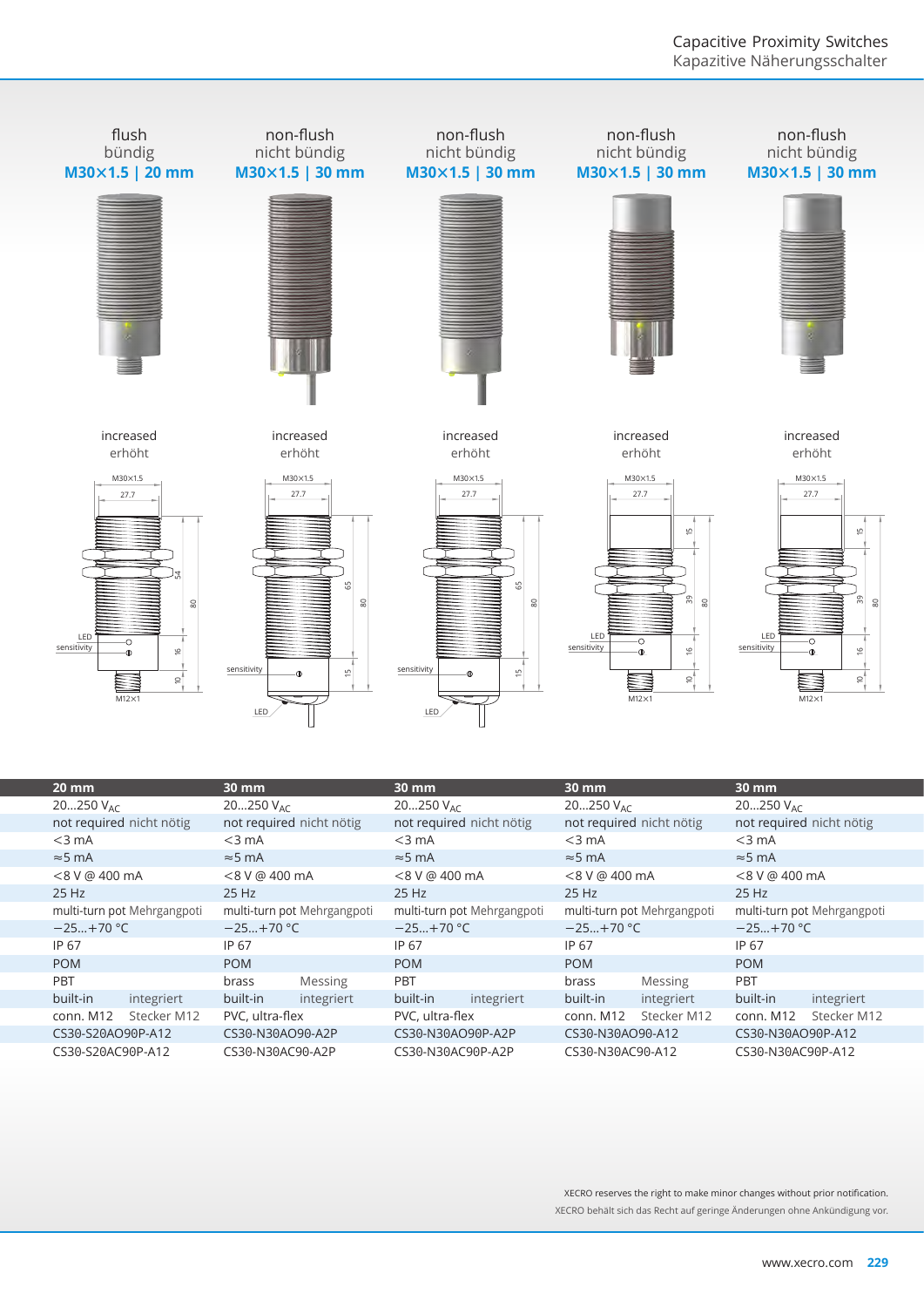

IP 67 POM PBT

built-in integriert conn. M12 Stecker M12 CS30-S20AO90P-A12 CS30-S20AC90P-A12

IP 67 POM

brass Messing built-in integriert PVC, ultra-flex CS30-N30AO90-A2P CS30-N30AC90-A2P

IP 67 POM PBT

built-in integriert PVC, ultra-flex CS30-N30AO90P-A2P CS30-N30AC90P-A2P

IP 67 POM

brass Messing built-in integriert conn. M12 Stecker M12 CS30-N30AO90-A12 CS30-N30AC90-A12

XECRO reserves the right to make minor changes without prior notification. XECRO behält sich das Recht auf geringe Änderungen ohne Ankündigung vor.

IP 67 POM PBT

built-in integriert conn. M12 Stecker M12 CS30-N30AO90P-A12 CS30-N30AC90P-A12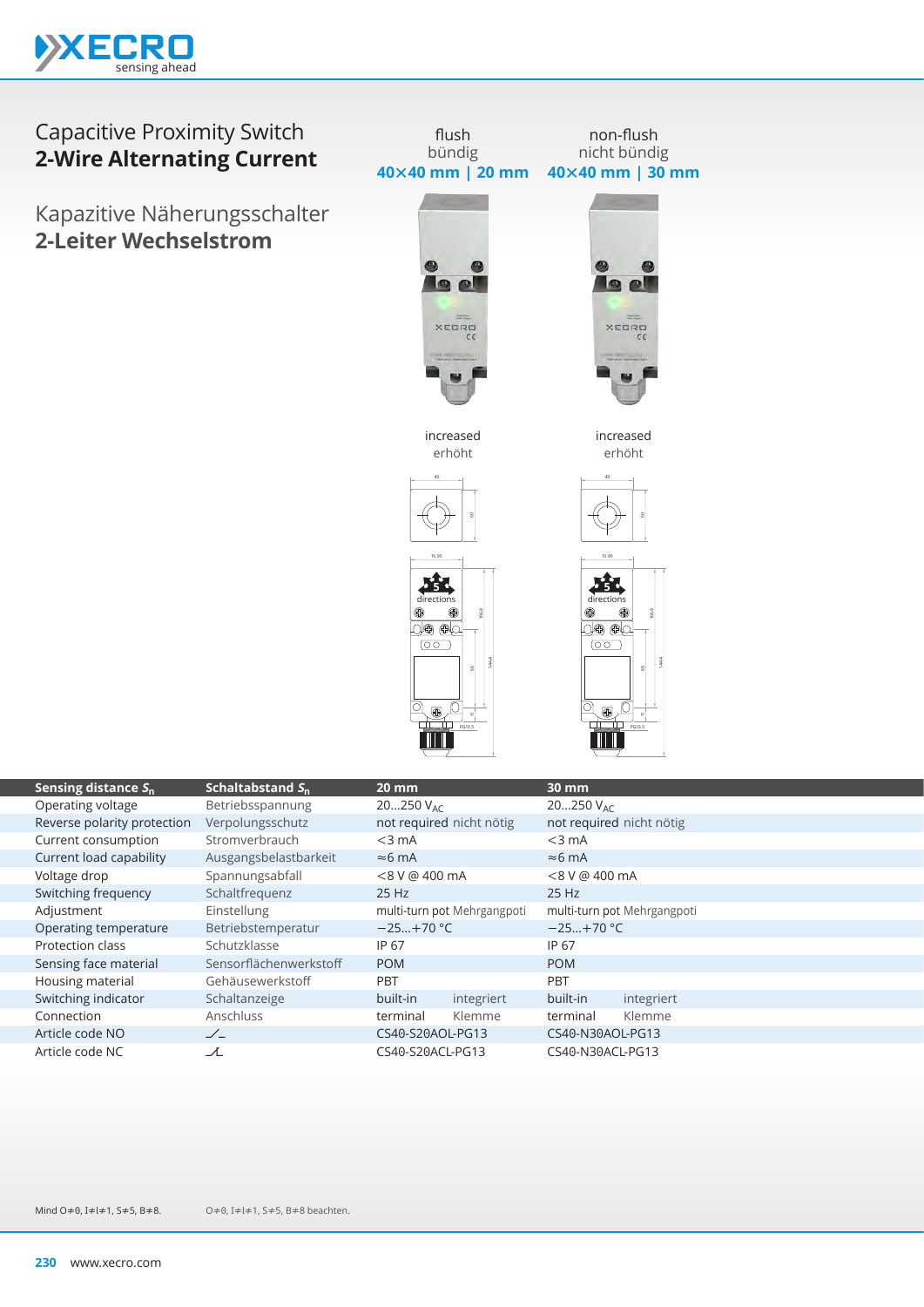

## Capacitive Proximity Switch **2-Wire Alternating Current**

Kapazitive Näherungsschalter **2-Leiter Wechselstrom**





44.4

60

PG3.5

| Sensing distance $S_n$      | Schaltabstand $S_n$    | $20 \, \text{mm}$           |            | 30 mm                    |                             |  |
|-----------------------------|------------------------|-----------------------------|------------|--------------------------|-----------------------------|--|
| Operating voltage           | Betriebsspannung       | $20250$ V <sub>AC</sub>     |            | 20250 $V_{AC}$           |                             |  |
| Reverse polarity protection | Verpolungsschutz       | not required nicht nötig    |            | not required nicht nötig |                             |  |
| Current consumption         | Stromverbrauch         | $<$ 3 mA                    |            | $<$ 3 mA                 |                             |  |
| Current load capability     | Ausgangsbelastbarkeit  | $\approx$ 6 mA              |            | $\approx$ 6 mA           |                             |  |
| Voltage drop                | Spannungsabfall        | <8 V @ 400 mA               |            | <8 V @ 400 mA            |                             |  |
| Switching frequency         | Schaltfrequenz         | 25 Hz                       |            | 25 Hz                    |                             |  |
| Adjustment                  | Einstellung            | multi-turn pot Mehrgangpoti |            |                          | multi-turn pot Mehrgangpoti |  |
| Operating temperature       | Betriebstemperatur     | $-25+70$ °C                 |            | $-25+70$ °C              |                             |  |
| Protection class            | Schutzklasse           | IP 67                       |            | IP 67                    |                             |  |
| Sensing face material       | Sensorflächenwerkstoff | <b>POM</b>                  |            | <b>POM</b>               |                             |  |
| Housing material            | Gehäusewerkstoff       | <b>PBT</b>                  |            | <b>PBT</b>               |                             |  |
| Switching indicator         | Schaltanzeige          | built-in                    | integriert | built-in                 | integriert                  |  |
| Connection                  | Anschluss              | terminal                    | Klemme     | terminal                 | Klemme                      |  |
| Article code NO             | $\angle$               | CS40-S20AOL-PG13            |            | CS40-N30AOL-PG13         |                             |  |
| Article code NC             | プ                      | CS40-S20ACL-PG13            |            | CS40-N30ACL-PG13         |                             |  |
|                             |                        |                             |            |                          |                             |  |

44.4

60

 $\circ$ 

PG3.5